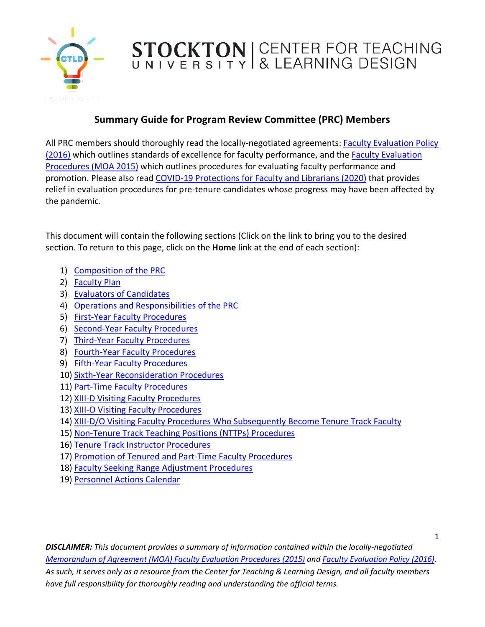

### **Summary Guide for Program Review Committee (PRC) Members**

<span id="page-0-0"></span>All PRC members should thoroughly read the locally-negotiated agreements[: Faculty Evaluation Policy](https://www.stockton.edu/policy-procedure/documents/policies/II-10.5.pdf)  [\(2016\)](https://www.stockton.edu/policy-procedure/documents/policies/II-10.5.pdf) which outlines standards of excellence for faculty performance, and the [Faculty Evaluation](https://www.stockton.edu/academic-affairs/agreements/documents/2015-Executed-Procedure-for-the-Evalution-of-Faculty-and-Library-Faculty-MOA-with-TOC.pdf)  [Procedures \(MOA 2015\)](https://www.stockton.edu/academic-affairs/agreements/documents/2015-Executed-Procedure-for-the-Evalution-of-Faculty-and-Library-Faculty-MOA-with-TOC.pdf) which outlines procedures for evaluating faculty performance and promotion. Please also read [COVID-19 Protections for Faculty and Librarians \(2020\)](https://www.stockton.edu/academic-affairs/agreements/documents/SFTMOAEvaluationofFacultyandLibrariansintheTimeofCOVID-19.pdf) that provides relief in evaluation procedures for pre-tenure candidates whose progress may have been affected by the pandemic.

This document will contain the following sections (Click on the link to bring you to the desired section. To return to this page, click on the **Home** link at the end of each section):

- 1) [Composition of the PRC](#page-1-0)
- 2) [Faculty Plan](#page-1-1)
- 3) [Evaluators of Candidates](#page-1-2)
- 4) [Operations and Responsibilities of the PRC](#page-1-3)
- 5) [First-Year Faculty Procedures](#page-3-0)
- 6) [Second-Year Faculty Procedures](#page-3-1)
- 7) [Third-Year Faculty Procedures](#page-4-0)
- 8) [Fourth-Year Faculty Procedures](#page-4-1)
- 9) [Fifth-Year Faculty Procedures](#page-5-0)
- 10) [Sixth-Year Reconsideration Procedures](#page-6-0)
- 11) [Part-Time Faculty Procedures](#page-7-0)
- 12) [XIII-D Visiting Faculty Procedures](#page-7-1)
- 13) [XIII-O Visiting Faculty Procedures](#page-7-2)
- 14) [XIII-D/O Visiting Faculty Procedures Who Subsequently Become Tenure Track Faculty](#page-8-0)
- 15) [Non-Tenure Track Teaching Positions \(NTTPs\) Procedures](#page-9-0)
- 16) [Tenure Track Instructor Procedures](#page-9-1)
- 17) [Promotion of Tenured and Part-Time Faculty Procedures](#page-10-0)
- 18) [Faculty Seeking Range Adjustment Procedures](#page-10-1)
- 19) [Personnel Actions Calendar](#page-11-0)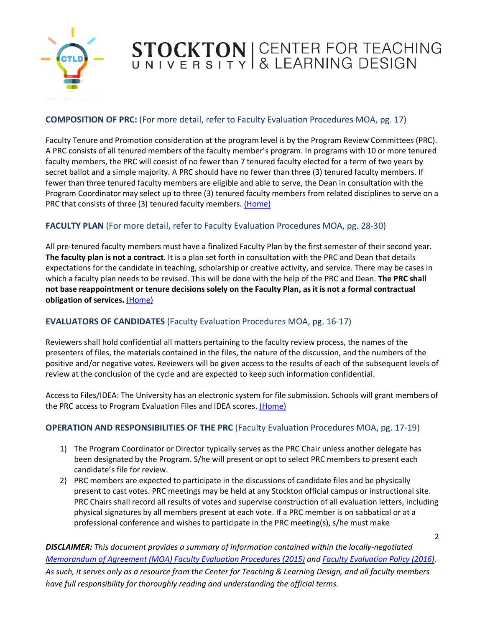

### <span id="page-1-0"></span>**COMPOSITION OF PRC:** (For more detail, refer to Faculty Evaluation Procedures MOA, pg. 17)

Faculty Tenure and Promotion consideration at the program level is by the Program Review Committees (PRC). A PRC consists of all tenured members of the faculty member's program. In programs with 10 or more tenured faculty members, the PRC will consist of no fewer than 7 tenured faculty elected for a term of two years by secret ballot and a simple majority. A PRC should have no fewer than three (3) tenured faculty members. If fewer than three tenured faculty members are eligible and able to serve, the Dean in consultation with the Program Coordinator may select up to three (3) tenured faculty members from related disciplines to serve on a PRC that consists of three (3) tenured faculty members*.* [\(Home\)](#page-0-0)

### <span id="page-1-1"></span>FACULTY PLAN (For more detail, refer to Faculty Evaluation Procedures MOA, pg. 28-30)

All pre-tenured faculty members must have a finalized Faculty Plan by the first semester of their second year. **The faculty plan is not a contract**. It is a plan set forth in consultation with the PRC and Dean that details expectations for the candidate in teaching, scholarship or creative activity, and service. There may be cases in which a faculty plan needs to be revised. This will be done with the help of the PRC and Dean. **The PRC shall not base reappointment or tenure decisions solely on the Faculty Plan, as it is not a formal contractual obligation of services.** [\(Home\)](#page-0-0)

### <span id="page-1-2"></span>**EVALUATORS OF CANDIDATES** (Faculty Evaluation Procedures MOA, pg. 16-17)

Reviewers shall hold confidential all matters pertaining to the faculty review process, the names of the presenters of files, the materials contained in the files, the nature of the discussion, and the numbers of the positive and/or negative votes. Reviewers will be given access to the results of each of the subsequent levels of review at the conclusion of the cycle and are expected to keep such information confidential.

Access to Files/IDEA: The University has an electronic system for file submission. Schools will grant members of the PRC access to Program Evaluation Files and IDEA scores. [\(Home\)](#page-0-0)

#### <span id="page-1-3"></span>**OPERATION AND RESPONSIBILITIES OF THE PRC** (Faculty Evaluation Procedures MOA, pg. 17-19)

- 1) The Program Coordinator or Director typically serves as the PRC Chair unless another delegate has been designated by the Program. S/he will present or opt to select PRC members to present each candidate's file for review.
- 2) PRC members are expected to participate in the discussions of candidate files and be physically present to cast votes. PRC meetings may be held at any Stockton official campus or instructional site. PRC Chairs shall record all results of votes and supervise construction of all evaluation letters, including physical signatures by all members present at each vote. If a PRC member is on sabbatical or at a professional conference and wishes to participate in the PRC meeting(s), s/he must make

2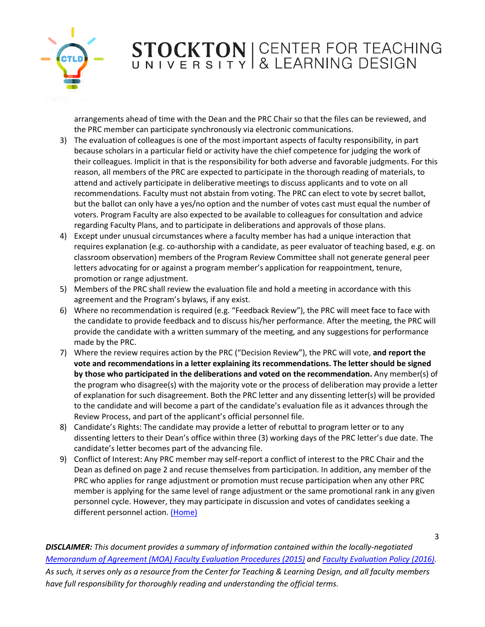

arrangements ahead of time with the Dean and the PRC Chair so that the files can be reviewed, and the PRC member can participate synchronously via electronic communications.

- 3) The evaluation of colleagues is one of the most important aspects of faculty responsibility, in part because scholars in a particular field or activity have the chief competence for judging the work of their colleagues. Implicit in that is the responsibility for both adverse and favorable judgments. For this reason, all members of the PRC are expected to participate in the thorough reading of materials, to attend and actively participate in deliberative meetings to discuss applicants and to vote on all recommendations. Faculty must not abstain from voting. The PRC can elect to vote by secret ballot, but the ballot can only have a yes/no option and the number of votes cast must equal the number of voters. Program Faculty are also expected to be available to colleagues for consultation and advice regarding Faculty Plans, and to participate in deliberations and approvals of those plans.
- 4) Except under unusual circumstances where a faculty member has had a unique interaction that requires explanation (e.g. co-authorship with a candidate, as peer evaluator of teaching based, e.g. on classroom observation) members of the Program Review Committee shall not generate general peer letters advocating for or against a program member's application for reappointment, tenure, promotion or range adjustment.
- 5) Members of the PRC shall review the evaluation file and hold a meeting in accordance with this agreement and the Program's bylaws, if any exist.
- 6) Where no recommendation is required (e.g. "Feedback Review"), the PRC will meet face to face with the candidate to provide feedback and to discuss his/her performance. After the meeting, the PRC will provide the candidate with a written summary of the meeting, and any suggestions for performance made by the PRC.
- 7) Where the review requires action by the PRC ("Decision Review"), the PRC will vote, **and report the vote and recommendations in a letter explaining its recommendations. The letter should be signed by those who participated in the deliberations and voted on the recommendation.** Any member(s) of the program who disagree(s) with the majority vote or the process of deliberation may provide a letter of explanation for such disagreement. Both the PRC letter and any dissenting letter(s) will be provided to the candidate and will become a part of the candidate's evaluation file as it advances through the Review Process, and part of the applicant's official personnel file.
- 8) Candidate's Rights: The candidate may provide a letter of rebuttal to program letter or to any dissenting letters to their Dean's office within three (3) working days of the PRC letter's due date. The candidate's letter becomes part of the advancing file.
- 9) Conflict of Interest: Any PRC member may self-report a conflict of interest to the PRC Chair and the Dean as defined on page 2 and recuse themselves from participation. In addition, any member of the PRC who applies for range adjustment or promotion must recuse participation when any other PRC member is applying for the same level of range adjustment or the same promotional rank in any given personnel cycle. However, they may participate in discussion and votes of candidates seeking a different personnel action. [\(Home\)](#page-0-0)

3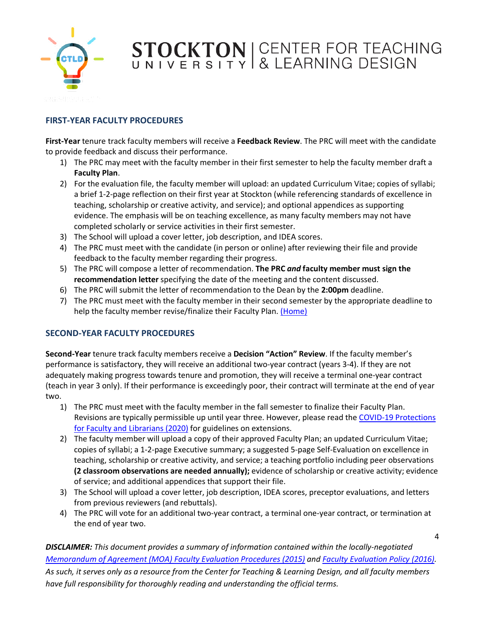

#### <span id="page-3-0"></span>**FIRST-YEAR FACULTY PROCEDURES**

**First-Year** tenure track faculty members will receive a **Feedback Review**. The PRC will meet with the candidate to provide feedback and discuss their performance.

- 1) The PRC may meet with the faculty member in their first semester to help the faculty member draft a **Faculty Plan**.
- 2) For the evaluation file, the faculty member will upload: an updated Curriculum Vitae; copies of syllabi; a brief 1-2-page reflection on their first year at Stockton (while referencing standards of excellence in teaching, scholarship or creative activity, and service); and optional appendices as supporting evidence. The emphasis will be on teaching excellence, as many faculty members may not have completed scholarly or service activities in their first semester.
- 3) The School will upload a cover letter, job description, and IDEA scores.
- 4) The PRC must meet with the candidate (in person or online) after reviewing their file and provide feedback to the faculty member regarding their progress.
- 5) The PRC will compose a letter of recommendation. **The PRC** *and* **faculty member must sign the recommendation letter** specifying the date of the meeting and the content discussed.
- 6) The PRC will submit the letter of recommendation to the Dean by the **2:00pm** deadline.
- 7) The PRC must meet with the faculty member in their second semester by the appropriate deadline to help the faculty member revise/finalize their Faculty Plan. [\(Home\)](#page-0-0)

#### <span id="page-3-1"></span>**SECOND-YEAR FACULTY PROCEDURES**

**Second-Year** tenure track faculty members receive a **Decision "Action" Review**. If the faculty member's performance is satisfactory, they will receive an additional two-year contract (years 3-4). If they are not adequately making progress towards tenure and promotion, they will receive a terminal one-year contract (teach in year 3 only). If their performance is exceedingly poor, their contract will terminate at the end of year two.

- 1) The PRC must meet with the faculty member in the fall semester to finalize their Faculty Plan. Revisions are typically permissible up until year three. However, please read the [COVID-19 Protections](https://www.stockton.edu/academic-affairs/agreements/documents/SFTMOAEvaluationofFacultyandLibrariansintheTimeofCOVID-19.pdf)  [for Faculty and Librarians \(2020\)](https://www.stockton.edu/academic-affairs/agreements/documents/SFTMOAEvaluationofFacultyandLibrariansintheTimeofCOVID-19.pdf) for guidelines on extensions.
- 2) The faculty member will upload a copy of their approved Faculty Plan; an updated Curriculum Vitae; copies of syllabi; a 1-2-page Executive summary; a suggested 5-page Self-Evaluation on excellence in teaching, scholarship or creative activity, and service; a teaching portfolio including peer observations **(2 classroom observations are needed annually);** evidence of scholarship or creative activity; evidence of service; and additional appendices that support their file.
- 3) The School will upload a cover letter, job description, IDEA scores, preceptor evaluations, and letters from previous reviewers (and rebuttals).
- 4) The PRC will vote for an additional two-year contract, a terminal one-year contract, or termination at the end of year two.

4

*DISCLAIMER: This document provides a summary of information contained within the locally-negotiated [Memorandum of Agreement \(MOA\) Faculty Evaluation Procedures \(2015\)](https://stockton.edu/academic-affairs/agreements/faculty-staff-evaluation.html) and [Faculty Evaluation Policy \(2016\).](https://stockton.edu/policy-procedure/documents/policies/II-10.5.pdf)* 

*As such, it serves only as a resource from the Center for Teaching & Learning Design, and all faculty members have full responsibility for thoroughly reading and understanding the official terms.*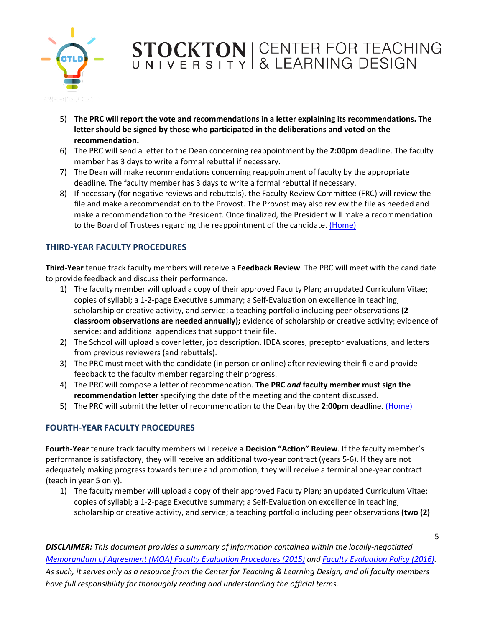

- 5) **The PRC will report the vote and recommendations in a letter explaining its recommendations. The letter should be signed by those who participated in the deliberations and voted on the recommendation.**
- 6) The PRC will send a letter to the Dean concerning reappointment by the **2:00pm** deadline. The faculty member has 3 days to write a formal rebuttal if necessary.
- 7) The Dean will make recommendations concerning reappointment of faculty by the appropriate deadline. The faculty member has 3 days to write a formal rebuttal if necessary.
- 8) If necessary (for negative reviews and rebuttals), the Faculty Review Committee (FRC) will review the file and make a recommendation to the Provost. The Provost may also review the file as needed and make a recommendation to the President. Once finalized, the President will make a recommendation to the Board of Trustees regarding the reappointment of the candidate. [\(Home\)](#page-0-0)

#### <span id="page-4-0"></span>**THIRD-YEAR FACULTY PROCEDURES**

**Third-Year** tenue track faculty members will receive a **Feedback Review**. The PRC will meet with the candidate to provide feedback and discuss their performance.

- 1) The faculty member will upload a copy of their approved Faculty Plan; an updated Curriculum Vitae; copies of syllabi; a 1-2-page Executive summary; a Self-Evaluation on excellence in teaching, scholarship or creative activity, and service; a teaching portfolio including peer observations **(2 classroom observations are needed annually);** evidence of scholarship or creative activity; evidence of service; and additional appendices that support their file.
- 2) The School will upload a cover letter, job description, IDEA scores, preceptor evaluations, and letters from previous reviewers (and rebuttals).
- 3) The PRC must meet with the candidate (in person or online) after reviewing their file and provide feedback to the faculty member regarding their progress.
- 4) The PRC will compose a letter of recommendation. **The PRC** *and* **faculty member must sign the recommendation letter** specifying the date of the meeting and the content discussed.
- 5) The PRC will submit the letter of recommendation to the Dean by the **2:00pm** deadline. [\(Home\)](#page-0-0)

#### <span id="page-4-1"></span>**FOURTH-YEAR FACULTY PROCEDURES**

**Fourth-Year** tenure track faculty members will receive a **Decision "Action" Review**. If the faculty member's performance is satisfactory, they will receive an additional two-year contract (years 5-6). If they are not adequately making progress towards tenure and promotion, they will receive a terminal one-year contract (teach in year 5 only).

1) The faculty member will upload a copy of their approved Faculty Plan; an updated Curriculum Vitae; copies of syllabi; a 1-2-page Executive summary; a Self-Evaluation on excellence in teaching, scholarship or creative activity, and service; a teaching portfolio including peer observations **(two (2)**

*DISCLAIMER: This document provides a summary of information contained within the locally-negotiated [Memorandum of Agreement \(MOA\) Faculty Evaluation Procedures \(2015\)](https://stockton.edu/academic-affairs/agreements/faculty-staff-evaluation.html) and [Faculty Evaluation Policy \(2016\).](https://stockton.edu/policy-procedure/documents/policies/II-10.5.pdf) As such, it serves only as a resource from the Center for Teaching & Learning Design, and all faculty members* 

*have full responsibility for thoroughly reading and understanding the official terms.*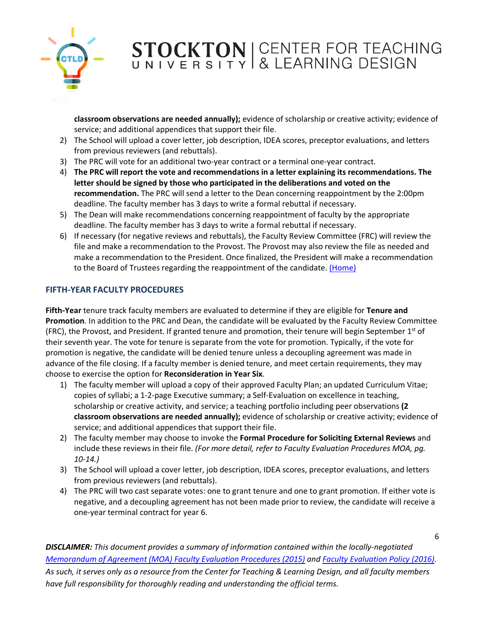

**classroom observations are needed annually);** evidence of scholarship or creative activity; evidence of service; and additional appendices that support their file.

- 2) The School will upload a cover letter, job description, IDEA scores, preceptor evaluations, and letters from previous reviewers (and rebuttals).
- 3) The PRC will vote for an additional two-year contract or a terminal one-year contract.
- 4) **The PRC will report the vote and recommendations in a letter explaining its recommendations. The letter should be signed by those who participated in the deliberations and voted on the recommendation.** The PRC will send a letter to the Dean concerning reappointment by the 2:00pm deadline. The faculty member has 3 days to write a formal rebuttal if necessary.
- 5) The Dean will make recommendations concerning reappointment of faculty by the appropriate deadline. The faculty member has 3 days to write a formal rebuttal if necessary.
- 6) If necessary (for negative reviews and rebuttals), the Faculty Review Committee (FRC) will review the file and make a recommendation to the Provost. The Provost may also review the file as needed and make a recommendation to the President. Once finalized, the President will make a recommendation to the Board of Trustees regarding the reappointment of the candidate. [\(Home\)](#page-0-0)

#### <span id="page-5-0"></span>**FIFTH-YEAR FACULTY PROCEDURES**

**Fifth-Year** tenure track faculty members are evaluated to determine if they are eligible for **Tenure and Promotion**. In addition to the PRC and Dean, the candidate will be evaluated by the Faculty Review Committee (FRC), the Provost, and President. If granted tenure and promotion, their tenure will begin September  $1<sup>st</sup>$  of their seventh year. The vote for tenure is separate from the vote for promotion. Typically, if the vote for promotion is negative, the candidate will be denied tenure unless a decoupling agreement was made in advance of the file closing. If a faculty member is denied tenure, and meet certain requirements, they may choose to exercise the option for **Reconsideration in Year Six**.

- 1) The faculty member will upload a copy of their approved Faculty Plan; an updated Curriculum Vitae; copies of syllabi; a 1-2-page Executive summary; a Self-Evaluation on excellence in teaching, scholarship or creative activity, and service; a teaching portfolio including peer observations **(2 classroom observations are needed annually);** evidence of scholarship or creative activity; evidence of service; and additional appendices that support their file.
- 2) The faculty member may choose to invoke the **Formal Procedure for Soliciting External Reviews** and include these reviews in their file. *(For more detail, refer to Faculty Evaluation Procedures MOA, pg. 10-14.)*
- 3) The School will upload a cover letter, job description, IDEA scores, preceptor evaluations, and letters from previous reviewers (and rebuttals).
- 4) The PRC will two cast separate votes: one to grant tenure and one to grant promotion. If either vote is negative, and a decoupling agreement has not been made prior to review, the candidate will receive a one-year terminal contract for year 6.

6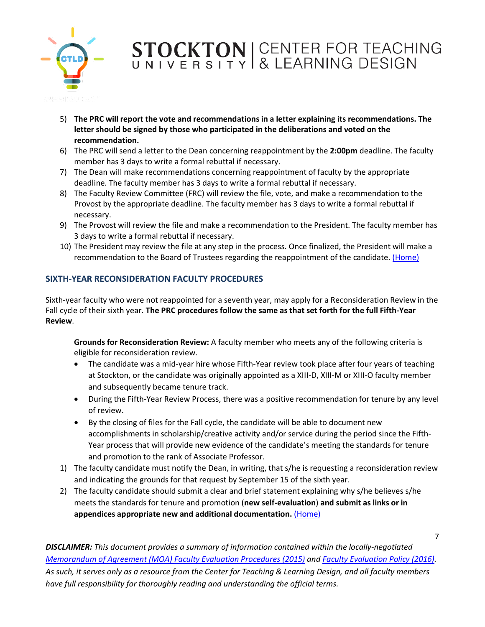

- 5) **The PRC will report the vote and recommendations in a letter explaining its recommendations. The letter should be signed by those who participated in the deliberations and voted on the recommendation.**
- 6) The PRC will send a letter to the Dean concerning reappointment by the **2:00pm** deadline. The faculty member has 3 days to write a formal rebuttal if necessary.
- 7) The Dean will make recommendations concerning reappointment of faculty by the appropriate deadline. The faculty member has 3 days to write a formal rebuttal if necessary.
- 8) The Faculty Review Committee (FRC) will review the file, vote, and make a recommendation to the Provost by the appropriate deadline. The faculty member has 3 days to write a formal rebuttal if necessary.
- 9) The Provost will review the file and make a recommendation to the President. The faculty member has 3 days to write a formal rebuttal if necessary.
- 10) The President may review the file at any step in the process. Once finalized, the President will make a recommendation to the Board of Trustees regarding the reappointment of the candidate. [\(Home\)](#page-0-0)

#### <span id="page-6-0"></span>**SIXTH-YEAR RECONSIDERATION FACULTY PROCEDURES**

Sixth-year faculty who were not reappointed for a seventh year, may apply for a Reconsideration Review in the Fall cycle of their sixth year. **The PRC procedures follow the same as that set forth for the full Fifth-Year Review**.

**Grounds for Reconsideration Review:** A faculty member who meets any of the following criteria is eligible for reconsideration review.

- The candidate was a mid-year hire whose Fifth-Year review took place after four years of teaching at Stockton, or the candidate was originally appointed as a XIII-D, XIII-M or XIII-O faculty member and subsequently became tenure track.
- During the Fifth-Year Review Process, there was a positive recommendation for tenure by any level of review.
- By the closing of files for the Fall cycle, the candidate will be able to document new accomplishments in scholarship/creative activity and/or service during the period since the Fifth-Year process that will provide new evidence of the candidate's meeting the standards for tenure and promotion to the rank of Associate Professor.
- 1) The faculty candidate must notify the Dean, in writing, that s/he is requesting a reconsideration review and indicating the grounds for that request by September 15 of the sixth year.

7

2) The faculty candidate should submit a clear and brief statement explaining why s/he believes s/he meets the standards for tenure and promotion (**new self-evaluation**) **and submit as links or in appendices appropriate new and additional documentation.** [\(Home\)](#page-0-0)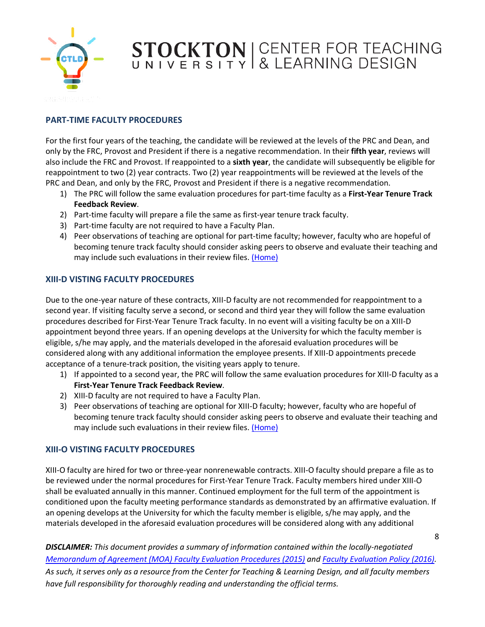

#### <span id="page-7-0"></span>**PART-TIME FACULTY PROCEDURES**

For the first four years of the teaching, the candidate will be reviewed at the levels of the PRC and Dean, and only by the FRC, Provost and President if there is a negative recommendation. In their **fifth year**, reviews will also include the FRC and Provost. If reappointed to a **sixth year**, the candidate will subsequently be eligible for reappointment to two (2) year contracts. Two (2) year reappointments will be reviewed at the levels of the PRC and Dean, and only by the FRC, Provost and President if there is a negative recommendation.

- 1) The PRC will follow the same evaluation procedures for part-time faculty as a **First-Year Tenure Track Feedback Review**.
- 2) Part-time faculty will prepare a file the same as first-year tenure track faculty.
- 3) Part-time faculty are not required to have a Faculty Plan.
- 4) Peer observations of teaching are optional for part-time faculty; however, faculty who are hopeful of becoming tenure track faculty should consider asking peers to observe and evaluate their teaching and may include such evaluations in their review files. [\(Home\)](#page-0-0)

#### <span id="page-7-1"></span>**XIII-D VISTING FACULTY PROCEDURES**

Due to the one-year nature of these contracts, XIII-D faculty are not recommended for reappointment to a second year. If visiting faculty serve a second, or second and third year they will follow the same evaluation procedures described for First-Year Tenure Track faculty. In no event will a visiting faculty be on a XIII-D appointment beyond three years. If an opening develops at the University for which the faculty member is eligible, s/he may apply, and the materials developed in the aforesaid evaluation procedures will be considered along with any additional information the employee presents. If XIII-D appointments precede acceptance of a tenure-track position, the visiting years apply to tenure.

- 1) If appointed to a second year, the PRC will follow the same evaluation procedures for XIII-D faculty as a **First-Year Tenure Track Feedback Review**.
- 2) XIII-D faculty are not required to have a Faculty Plan.
- 3) Peer observations of teaching are optional for XIII-D faculty; however, faculty who are hopeful of becoming tenure track faculty should consider asking peers to observe and evaluate their teaching and may include such evaluations in their review files. [\(Home\)](#page-0-0)

#### <span id="page-7-2"></span>**XIII-O VISTING FACULTY PROCEDURES**

XIII-O faculty are hired for two or three-year nonrenewable contracts. XIII-O faculty should prepare a file as to be reviewed under the normal procedures for First-Year Tenure Track. Faculty members hired under XIII-O shall be evaluated annually in this manner. Continued employment for the full term of the appointment is conditioned upon the faculty meeting performance standards as demonstrated by an affirmative evaluation. If an opening develops at the University for which the faculty member is eligible, s/he may apply, and the materials developed in the aforesaid evaluation procedures will be considered along with any additional

*DISCLAIMER: This document provides a summary of information contained within the locally-negotiated [Memorandum of Agreement \(MOA\) Faculty Evaluation Procedures \(2015\)](https://stockton.edu/academic-affairs/agreements/faculty-staff-evaluation.html) and [Faculty Evaluation Policy \(2016\).](https://stockton.edu/policy-procedure/documents/policies/II-10.5.pdf) As such, it serves only as a resource from the Center for Teaching & Learning Design, and all faculty members have full responsibility for thoroughly reading and understanding the official terms.*

8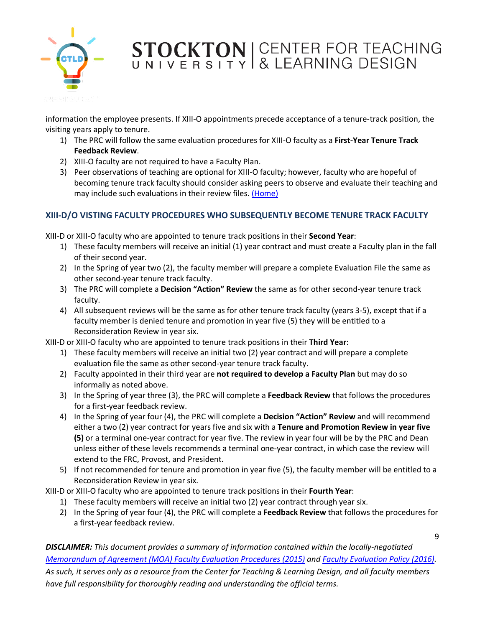

information the employee presents. If XIII-O appointments precede acceptance of a tenure-track position, the visiting years apply to tenure.

- 1) The PRC will follow the same evaluation procedures for XIII-O faculty as a **First-Year Tenure Track Feedback Review**.
- 2) XIII-O faculty are not required to have a Faculty Plan.
- 3) Peer observations of teaching are optional for XIII-O faculty; however, faculty who are hopeful of becoming tenure track faculty should consider asking peers to observe and evaluate their teaching and may include such evaluations in their review files. [\(Home\)](#page-0-0)

#### <span id="page-8-0"></span>**XIII-D/O VISTING FACULTY PROCEDURES WHO SUBSEQUENTLY BECOME TENURE TRACK FACULTY**

XIII-D or XIII-O faculty who are appointed to tenure track positions in their **Second Year**:

- 1) These faculty members will receive an initial (1) year contract and must create a Faculty plan in the fall of their second year.
- 2) In the Spring of year two (2), the faculty member will prepare a complete Evaluation File the same as other second-year tenure track faculty.
- 3) The PRC will complete a **Decision "Action" Review** the same as for other second-year tenure track faculty.
- 4) All subsequent reviews will be the same as for other tenure track faculty (years 3-5), except that if a faculty member is denied tenure and promotion in year five (5) they will be entitled to a Reconsideration Review in year six.

XIII-D or XIII-O faculty who are appointed to tenure track positions in their **Third Year**:

- 1) These faculty members will receive an initial two (2) year contract and will prepare a complete evaluation file the same as other second-year tenure track faculty.
- 2) Faculty appointed in their third year are **not required to develop a Faculty Plan** but may do so informally as noted above.
- 3) In the Spring of year three (3), the PRC will complete a **Feedback Review** that follows the procedures for a first-year feedback review.
- 4) In the Spring of year four (4), the PRC will complete a **Decision "Action" Review** and will recommend either a two (2) year contract for years five and six with a **Tenure and Promotion Review in year five (5)** or a terminal one-year contract for year five. The review in year four will be by the PRC and Dean unless either of these levels recommends a terminal one-year contract, in which case the review will extend to the FRC, Provost, and President.
- 5) If not recommended for tenure and promotion in year five (5), the faculty member will be entitled to a Reconsideration Review in year six.

XIII-D or XIII-O faculty who are appointed to tenure track positions in their **Fourth Year**:

- 1) These faculty members will receive an initial two (2) year contract through year six.
- 2) In the Spring of year four (4), the PRC will complete a **Feedback Review** that follows the procedures for a first-year feedback review.

*DISCLAIMER: This document provides a summary of information contained within the locally-negotiated [Memorandum of Agreement \(MOA\) Faculty Evaluation Procedures \(2015\)](https://stockton.edu/academic-affairs/agreements/faculty-staff-evaluation.html) and [Faculty Evaluation Policy \(2016\).](https://stockton.edu/policy-procedure/documents/policies/II-10.5.pdf)* 

*As such, it serves only as a resource from the Center for Teaching & Learning Design, and all faculty members have full responsibility for thoroughly reading and understanding the official terms.*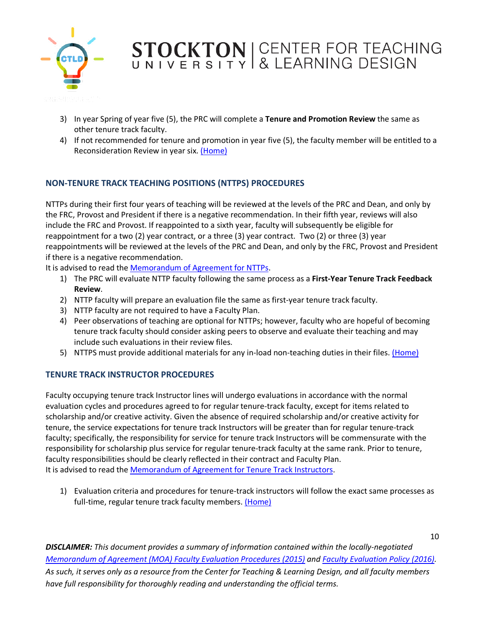

- 3) In year Spring of year five (5), the PRC will complete a **Tenure and Promotion Review** the same as other tenure track faculty.
- 4) If not recommended for tenure and promotion in year five (5), the faculty member will be entitled to a Reconsideration Review in year six. [\(Home\)](#page-0-0)

### <span id="page-9-0"></span>**NON-TENURE TRACK TEACHING POSITIONS (NTTPS) PROCEDURES**

NTTPs during their first four years of teaching will be reviewed at the levels of the PRC and Dean, and only by the FRC, Provost and President if there is a negative recommendation. In their fifth year, reviews will also include the FRC and Provost. If reappointed to a sixth year, faculty will subsequently be eligible for reappointment for a two (2) year contract, or a three (3) year contract. Two (2) or three (3) year reappointments will be reviewed at the levels of the PRC and Dean, and only by the FRC, Provost and President if there is a negative recommendation.

It is advised to read the [Memorandum of Agreement for NTTPs.](https://www.stockton.edu/academic-affairs/agreements/documents/nontenuretrackteachingpositionsmoa2020.pdf)

- 1) The PRC will evaluate NTTP faculty following the same process as a **First-Year Tenure Track Feedback Review**.
- 2) NTTP faculty will prepare an evaluation file the same as first-year tenure track faculty.
- 3) NTTP faculty are not required to have a Faculty Plan.
- 4) Peer observations of teaching are optional for NTTPs; however, faculty who are hopeful of becoming tenure track faculty should consider asking peers to observe and evaluate their teaching and may include such evaluations in their review files.
- 5) NTTPS must provide additional materials for any in-load non-teaching duties in their files. [\(Home\)](#page-0-0)

#### <span id="page-9-1"></span>**TENURE TRACK INSTRUCTOR PROCEDURES**

Faculty occupying tenure track Instructor lines will undergo evaluations in accordance with the normal evaluation cycles and procedures agreed to for regular tenure-track faculty, except for items related to scholarship and/or creative activity. Given the absence of required scholarship and/or creative activity for tenure, the service expectations for tenure track Instructors will be greater than for regular tenure-track faculty; specifically, the responsibility for service for tenure track Instructors will be commensurate with the responsibility for scholarship plus service for regular tenure-track faculty at the same rank. Prior to tenure, faculty responsibilities should be clearly reflected in their contract and Faculty Plan. It is advised to read the [Memorandum of Agreement for Tenure Track Instructors.](https://www.stockton.edu/academic-affairs/agreements/documents/2014-Executed-Tenure-Track-Instructor-Lines-Agreement.pdf)

1) Evaluation criteria and procedures for tenure-track instructors will follow the exact same processes as full-time, regular tenure track faculty members. [\(Home\)](#page-0-0)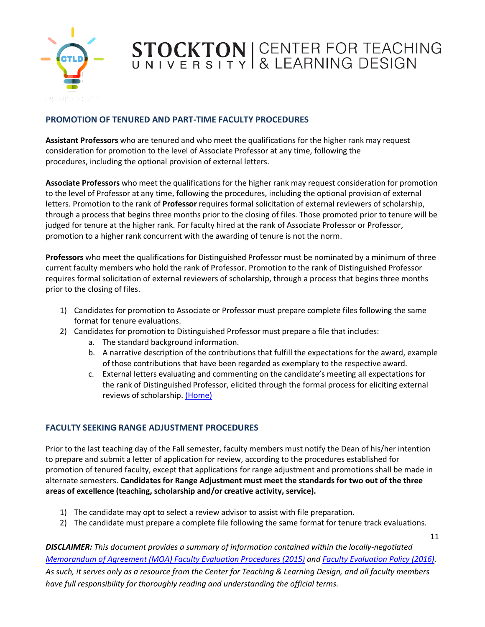

#### <span id="page-10-0"></span>**PROMOTION OF TENURED AND PART-TIME FACULTY PROCEDURES**

**Assistant Professors** who are tenured and who meet the qualifications for the higher rank may request consideration for promotion to the level of Associate Professor at any time, following the procedures, including the optional provision of external letters.

**Associate Professors** who meet the qualifications for the higher rank may request consideration for promotion to the level of Professor at any time, following the procedures, including the optional provision of external letters. Promotion to the rank of **Professor** requires formal solicitation of external reviewers of scholarship, through a process that begins three months prior to the closing of files. Those promoted prior to tenure will be judged for tenure at the higher rank. For faculty hired at the rank of Associate Professor or Professor, promotion to a higher rank concurrent with the awarding of tenure is not the norm.

**Professors** who meet the qualifications for Distinguished Professor must be nominated by a minimum of three current faculty members who hold the rank of Professor. Promotion to the rank of Distinguished Professor requires formal solicitation of external reviewers of scholarship, through a process that begins three months prior to the closing of files.

- 1) Candidates for promotion to Associate or Professor must prepare complete files following the same format for tenure evaluations.
- 2) Candidates for promotion to Distinguished Professor must prepare a file that includes:
	- a. The standard background information.
	- b. A narrative description of the contributions that fulfill the expectations for the award, example of those contributions that have been regarded as exemplary to the respective award.
	- c. External letters evaluating and commenting on the candidate's meeting all expectations for the rank of Distinguished Professor, elicited through the formal process for eliciting external reviews of scholarship. [\(Home\)](#page-0-0)

#### <span id="page-10-1"></span>**FACULTY SEEKING RANGE ADJUSTMENT PROCEDURES**

Prior to the last teaching day of the Fall semester, faculty members must notify the Dean of his/her intention to prepare and submit a letter of application for review, according to the procedures established for promotion of tenured faculty, except that applications for range adjustment and promotions shall be made in alternate semesters. **Candidates for Range Adjustment must meet the standards for two out of the three areas of excellence (teaching, scholarship and/or creative activity, service).** 

- 1) The candidate may opt to select a review advisor to assist with file preparation.
- 2) The candidate must prepare a complete file following the same format for tenure track evaluations.

11